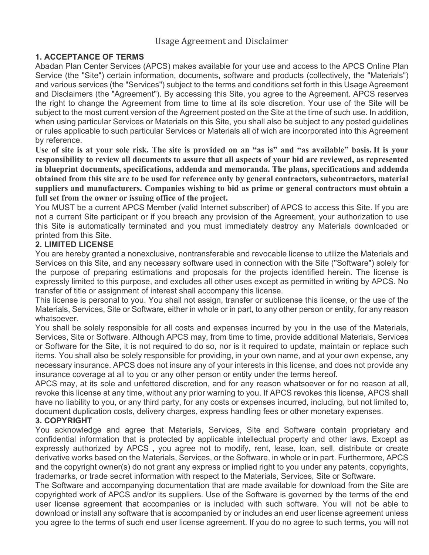# Usage Agreement and Disclaimer

# **1. ACCEPTANCE OF TERMS**

Abadan Plan Center Services (APCS) makes available for your use and access to the APCS Online Plan Service (the "Site") certain information, documents, software and products (collectively, the "Materials") and various services (the "Services") subject to the terms and conditions set forth in this Usage Agreement and Disclaimers (the "Agreement"). By accessing this Site, you agree to the Agreement. APCS reserves the right to change the Agreement from time to time at its sole discretion. Your use of the Site will be subject to the most current version of the Agreement posted on the Site at the time of such use. In addition, when using particular Services or Materials on this Site, you shall also be subject to any posted guidelines or rules applicable to such particular Services or Materials all of wich are incorporated into this Agreement by reference.

**Use of site is at your sole risk. The site is provided on an "as is" and "as available" basis. It is your responsibility to review all documents to assure that all aspects of your bid are reviewed, as represented in blueprint documents, specifications, addenda and memoranda. The plans, specifications and addenda obtained from this site are to be used for reference only by general contractors, subcontractors, material suppliers and manufacturers. Companies wishing to bid as prime or general contractors must obtain a full set from the owner or issuing office of the project.**

You MUST be a current APCS Member (valid Internet subscriber) of APCS to access this Site. If you are not a current Site participant or if you breach any provision of the Agreement, your authorization to use this Site is automatically terminated and you must immediately destroy any Materials downloaded or printed from this Site.

## **2. LIMITED LICENSE**

You are hereby granted a nonexclusive, nontransferable and revocable license to utilize the Materials and Services on this Site, and any necessary software used in connection with the Site ("Software") solely for the purpose of preparing estimations and proposals for the projects identified herein. The license is expressly limited to this purpose, and excludes all other uses except as permitted in writing by APCS. No transfer of title or assignment of interest shall accompany this license.

This license is personal to you. You shall not assign, transfer or sublicense this license, or the use of the Materials, Services, Site or Software, either in whole or in part, to any other person or entity, for any reason whatsoever.

You shall be solely responsible for all costs and expenses incurred by you in the use of the Materials, Services, Site or Software. Although APCS may, from time to time, provide additional Materials, Services or Software for the Site, it is not required to do so, nor is it required to update, maintain or replace such items. You shall also be solely responsible for providing, in your own name, and at your own expense, any necessary insurance. APCS does not insure any of your interests in this license, and does not provide any insurance coverage at all to you or any other person or entity under the terms hereof.

APCS may, at its sole and unfettered discretion, and for any reason whatsoever or for no reason at all, revoke this license at any time, without any prior warning to you. If APCS revokes this license, APCS shall have no liability to you, or any third party, for any costs or expenses incurred, including, but not limited to, document duplication costs, delivery charges, express handling fees or other monetary expenses.

## **3. COPYRIGHT**

You acknowledge and agree that Materials, Services, Site and Software contain proprietary and confidential information that is protected by applicable intellectual property and other laws. Except as expressly authorized by APCS , you agree not to modify, rent, lease, loan, sell, distribute or create derivative works based on the Materials, Services, or the Software, in whole or in part. Furthermore, APCS and the copyright owner(s) do not grant any express or implied right to you under any patents, copyrights, trademarks, or trade secret information with respect to the Materials, Services, Site or Software.

The Software and accompanying documentation that are made available for download from the Site are copyrighted work of APCS and/or its suppliers. Use of the Software is governed by the terms of the end user license agreement that accompanies or is included with such software. You will not be able to download or install any software that is accompanied by or includes an end user license agreement unless you agree to the terms of such end user license agreement. If you do no agree to such terms, you will not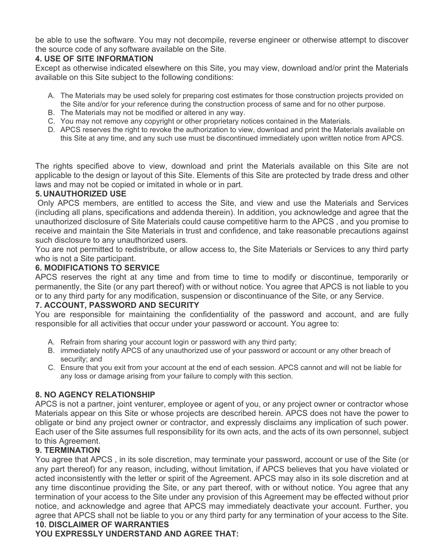be able to use the software. You may not decompile, reverse engineer or otherwise attempt to discover the source code of any software available on the Site.

# **4. USE OF SITE INFORMATION**

Except as otherwise indicated elsewhere on this Site, you may view, download and/or print the Materials available on this Site subject to the following conditions:

- A. The Materials may be used solely for preparing cost estimates for those construction projects provided on the Site and/or for your reference during the construction process of same and for no other purpose.
- B. The Materials may not be modified or altered in any way.
- C. You may not remove any copyright or other proprietary notices contained in the Materials.
- D. APCS reserves the right to revoke the authorization to view, download and print the Materials available on this Site at any time, and any such use must be discontinued immediately upon written notice from APCS.

The rights specified above to view, download and print the Materials available on this Site are not applicable to the design or layout of this Site. Elements of this Site are protected by trade dress and other laws and may not be copied or imitated in whole or in part.

## **5. UNAUTHORIZED USE**

 Only APCS members, are entitled to access the Site, and view and use the Materials and Services (including all plans, specifications and addenda therein). In addition, you acknowledge and agree that the unauthorized disclosure of Site Materials could cause competitive harm to the APCS , and you promise to receive and maintain the Site Materials in trust and confidence, and take reasonable precautions against such disclosure to any unauthorized users.

You are not permitted to redistribute, or allow access to, the Site Materials or Services to any third party who is not a Site participant.

## **6. MODIFICATIONS TO SERVICE**

APCS reserves the right at any time and from time to time to modify or discontinue, temporarily or permanently, the Site (or any part thereof) with or without notice. You agree that APCS is not liable to you or to any third party for any modification, suspension or discontinuance of the Site, or any Service.

### **7. ACCOUNT, PASSWORD AND SECURITY**

You are responsible for maintaining the confidentiality of the password and account, and are fully responsible for all activities that occur under your password or account. You agree to:

- A. Refrain from sharing your account login or password with any third party;
- B. immediately notify APCS of any unauthorized use of your password or account or any other breach of security; and
- C. Ensure that you exit from your account at the end of each session. APCS cannot and will not be liable for any loss or damage arising from your failure to comply with this section.

# **8. NO AGENCY RELATIONSHIP**

APCS is not a partner, joint venturer, employee or agent of you, or any project owner or contractor whose Materials appear on this Site or whose projects are described herein. APCS does not have the power to obligate or bind any project owner or contractor, and expressly disclaims any implication of such power. Each user of the Site assumes full responsibility for its own acts, and the acts of its own personnel, subject to this Agreement.

# **9. TERMINATION**

You agree that APCS , in its sole discretion, may terminate your password, account or use of the Site (or any part thereof) for any reason, including, without limitation, if APCS believes that you have violated or acted inconsistently with the letter or spirit of the Agreement. APCS may also in its sole discretion and at any time discontinue providing the Site, or any part thereof, with or without notice. You agree that any termination of your access to the Site under any provision of this Agreement may be effected without prior notice, and acknowledge and agree that APCS may immediately deactivate your account. Further, you agree that APCS shall not be liable to you or any third party for any termination of your access to the Site. **10. DISCLAIMER OF WARRANTIES** 

## **YOU EXPRESSLY UNDERSTAND AND AGREE THAT:**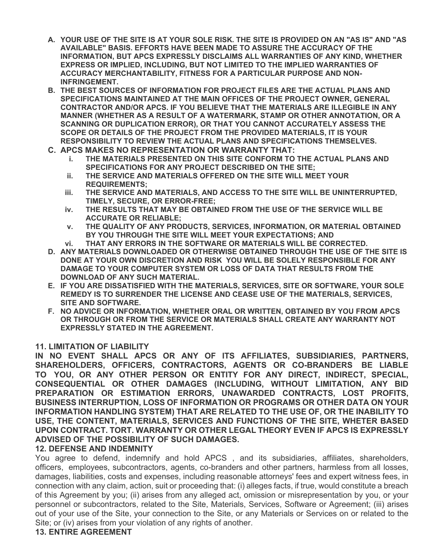- **A. YOUR USE OF THE SITE IS AT YOUR SOLE RISK. THE SITE IS PROVIDED ON AN "AS IS" AND "AS AVAILABLE" BASIS. EFFORTS HAVE BEEN MADE TO ASSURE THE ACCURACY OF THE INFORMATION, BUT APCS EXPRESSLY DISCLAIMS ALL WARRANTIES OF ANY KIND, WHETHER EXPRESS OR IMPLIED, INCLUDING, BUT NOT LIMITED TO THE IMPLIED WARRANTIES OF ACCURACY MERCHANTABILITY, FITNESS FOR A PARTICULAR PURPOSE AND NON-INFRINGEMENT.**
- **B. THE BEST SOURCES OF INFORMATION FOR PROJECT FILES ARE THE ACTUAL PLANS AND SPECIFICATIONS MAINTAINED AT THE MAIN OFFICES OF THE PROJECT OWNER, GENERAL CONTRACTOR AND/OR APCS. IF YOU BELIEVE THAT THE MATERIALS ARE ILLEGIBLE IN ANY MANNER (WHETHER AS A RESULT OF A WATERMARK, STAMP OR OTHER ANNOTATION, OR A SCANNING OR DUPLICATION ERROR), OR THAT YOU CANNOT ACCURATELY ASSESS THE SCOPE OR DETAILS OF THE PROJECT FROM THE PROVIDED MATERIALS, IT IS YOUR RESPONSIBILITY TO REVIEW THE ACTUAL PLANS AND SPECIFICATIONS THEMSELVES.**
- **C. APCS MAKES NO REPRESENTATION OR WARRANTY THAT:** 
	- **i. THE MATERIALS PRESENTED ON THIS SITE CONFORM TO THE ACTUAL PLANS AND SPECIFICATIONS FOR ANY PROJECT DESCRIBED ON THE SITE;**
	- **ii. THE SERVICE AND MATERIALS OFFERED ON THE SITE WILL MEET YOUR REQUIREMENTS;**
	- **iii. THE SERVICE AND MATERIALS, AND ACCESS TO THE SITE WILL BE UNINTERRUPTED, TIMELY, SECURE, OR ERROR-FREE;**
	- **iv. THE RESULTS THAT MAY BE OBTAINED FROM THE USE OF THE SERVICE WILL BE ACCURATE OR RELIABLE;**
	- **v. THE QUALITY OF ANY PRODUCTS, SERVICES, INFORMATION, OR MATERIAL OBTAINED BY YOU THROUGH THE SITE WILL MEET YOUR EXPECTATIONS; AND**
	- **vi. THAT ANY ERRORS IN THE SOFTWARE OR MATERIALS WILL BE CORRECTED.**
- **D. ANY MATERIALS DOWNLOADED OR OTHERWISE OBTAINED THROUGH THE USE OF THE SITE IS DONE AT YOUR OWN DISCRETION AND RISK YOU WILL BE SOLELY RESPONSIBLE FOR ANY DAMAGE TO YOUR COMPUTER SYSTEM OR LOSS OF DATA THAT RESULTS FROM THE DOWNLOAD OF ANY SUCH MATERIAL.**
- **E. IF YOU ARE DISSATISFIED WITH THE MATERIALS, SERVICES, SITE OR SOFTWARE, YOUR SOLE REMEDY IS TO SURRENDER THE LICENSE AND CEASE USE OF THE MATERIALS, SERVICES, SITE AND SOFTWARE.**
- **F. NO ADVICE OR INFORMATION, WHETHER ORAL OR WRITTEN, OBTAINED BY YOU FROM APCS OR THROUGH OR FROM THE SERVICE OR MATERIALS SHALL CREATE ANY WARRANTY NOT EXPRESSLY STATED IN THE AGREEMENT.**

#### **11. LIMITATION OF LIABILITY**

**IN NO EVENT SHALL APCS OR ANY OF ITS AFFILIATES, SUBSIDIARIES, PARTNERS, SHAREHOLDERS, OFFICERS, CONTRACTORS, AGENTS OR CO-BRANDERS BE LIABLE TO YOU, OR ANY OTHER PERSON OR ENTITY FOR ANY DIRECT, INDIRECT, SPECIAL, CONSEQUENTIAL OR OTHER DAMAGES (INCLUDING, WITHOUT LIMITATION, ANY BID PREPARATION OR ESTIMATION ERRORS, UNAWARDED CONTRACTS, LOST PROFITS, BUSINESS INTERRUPTION, LOSS OF INFORMATION OR PROGRAMS OR OTHER DATA ON YOUR INFORMATION HANDLING SYSTEM) THAT ARE RELATED TO THE USE OF, OR THE INABILITY TO USE, THE CONTENT, MATERIALS, SERVICES AND FUNCTIONS OF THE SITE, WHETER BASED UPON CONTRACT. TORT. WARRANTY OR OTHER LEGAL THEORY EVEN IF APCS IS EXPRESSLY ADVISED OF THE POSSIBILITY OF SUCH DAMAGES.** 

### **12. DEFENSE AND INDEMNITY**

You agree to defend, indemnify and hold APCS , and its subsidiaries, affiliates, shareholders, officers, employees, subcontractors, agents, co-branders and other partners, harmless from all losses, damages, liabilities, costs and expenses, including reasonable attorneys' fees and expert witness fees, in connection with any claim, action, suit or proceeding that: (i) alleges facts, if true, would constitute a breach of this Agreement by you; (ii) arises from any alleged act, omission or misrepresentation by you, or your personnel or subcontractors, related to the Site, Materials, Services, Software or Agreement; (iii) arises out of your use of the Site, your connection to the Site, or any Materials or Services on or related to the Site; or (iv) arises from your violation of any rights of another.

# **13. ENTIRE AGREEMENT**